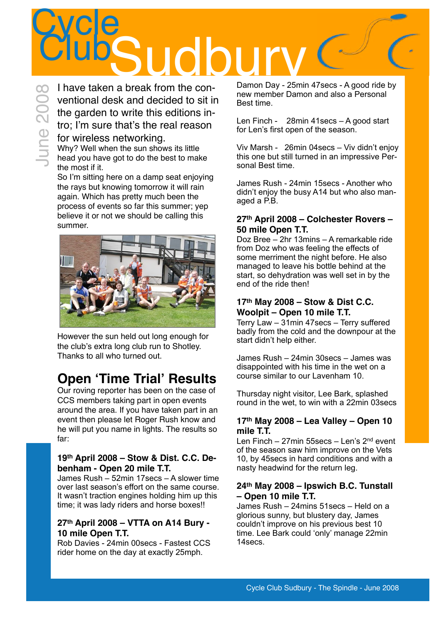# **Cycle** ClubSudbury ClubS June 2008

I have taken a break from the conventional desk and decided to sit in the garden to write this editions intro; I'm sure that's the real reason for wireless networking.

Why? Well when the sun shows its little head you have got to do the best to make the most if it.

So I'm sitting here on a damp seat enjoying the rays but knowing tomorrow it will rain again. Which has pretty much been the process of events so far this summer; yep believe it or not we should be calling this summer.



However the sun held out long enough for the club's extra long club run to Shotley. Thanks to all who turned out.

### **Open ʻTime Trial' Results**

Our roving reporter has been on the case of CCS members taking part in open events around the area. If you have taken part in an event then please let Roger Rush know and he will put you name in lights. The results so far:

#### **19th April 2008 – Stow & Dist. C.C. Debenham - Open 20 mile T.T.**

James Rush – 52min 17secs – A slower time over last season's effort on the same course. It wasn't traction engines holding him up this time; it was lady riders and horse boxes!!

#### **27th April 2008 – VTTA on A14 Bury - 10 mile Open T.T.**

Rob Davies - 24min 00secs - Fastest CCS rider home on the day at exactly 25mph.

Damon Day - 25min 47secs - A good ride by new member Damon and also a Personal Best time.

Len Finch - 28min 41secs – A good start for Len's first open of the season.

Viv Marsh - 26min 04secs – Viv didn't enjoy this one but still turned in an impressive Personal Best time.

James Rush - 24min 15secs - Another who didn't enjoy the busy A14 but who also managed a P.B.

#### **27th April 2008 – Colchester Rovers – 50 mile Open T.T.**

Doz Bree – 2hr 13mins – A remarkable ride from Doz who was feeling the effects of some merriment the night before. He also managed to leave his bottle behind at the start, so dehydration was well set in by the end of the ride then!

#### **17th May 2008 – Stow & Dist C.C. Woolpit – Open 10 mile T.T.**

Terry Law – 31min 47secs – Terry suffered badly from the cold and the downpour at the start didn't help either.

James Rush – 24min 30secs – James was disappointed with his time in the wet on a course similar to our Lavenham 10.

Thursday night visitor, Lee Bark, splashed round in the wet, to win with a 22min 03secs

#### **17th May 2008 – Lea Valley – Open 10 mile T.T.**

Len Finch – 27min 55 secs – Len's  $2<sup>nd</sup>$  event of the season saw him improve on the Vets 10, by 45secs in hard conditions and with a nasty headwind for the return leg.

#### **24th May 2008 – Ipswich B.C. Tunstall – Open 10 mile T.T.**

James Rush – 24mins 51secs – Held on a glorious sunny, but blustery day, James couldn't improve on his previous best 10 time. Lee Bark could 'only' manage 22min 14secs.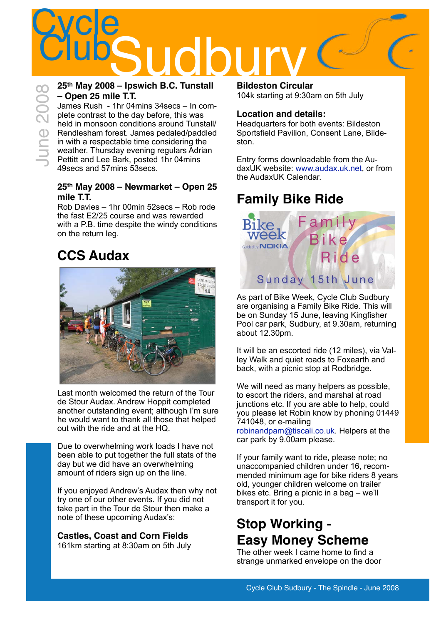## **Cycle** ClubSudbury 2008 - Inswich B.C. Tunstall Bildeston Circula

#### **25th May 2008 – Ipswich B.C. Tunstall – Open 25 mile T.T.**

James Rush - 1hr 04mins 34secs – In complete contrast to the day before, this was held in monsoon conditions around Tunstall/ Rendlesham forest. James pedaled/paddled in with a respectable time considering the weather. Thursday evening regulars Adrian Pettitt and Lee Bark, posted 1hr 04mins 49secs and 57mins 53secs.

#### **25th May 2008 – Newmarket – Open 25 mile T.T.**

Rob Davies – 1hr 00min 52secs – Rob rode the fast E2/25 course and was rewarded with a P.B. time despite the windy conditions on the return leg.

### **CCS Audax**



Last month welcomed the return of the Tour de Stour Audax. Andrew Hoppit completed another outstanding event; although I'm sure he would want to thank all those that helped out with the ride and at the HQ.

Due to overwhelming work loads I have not been able to put together the full stats of the day but we did have an overwhelming amount of riders sign up on the line.

If you enjoyed Andrew's Audax then why not try one of our other events. If you did not take part in the Tour de Stour then make a note of these upcoming Audax's:

**Castles, Coast and Corn Fields** 161km starting at 8:30am on 5th July **Bildeston Circular** 104k starting at 9:30am on 5th July

#### **Location and details:**

Headquarters for both events: Bildeston Sportsfield Pavilion, Consent Lane, Bildeston.

Entry forms downloadable from the AudaxUK website: [www.audax.uk.net](http://www.audax.uk.net), or from the AudaxUK Calendar.

## **Family Bike Ride**



As part of Bike Week, Cycle Club Sudbury are organising a Family Bike Ride. This will be on Sunday 15 June, leaving Kingfisher Pool car park, Sudbury, at 9.30am, returning about 12.30pm.

It will be an escorted ride (12 miles), via Valley Walk and quiet roads to Foxearth and back, with a picnic stop at Rodbridge.

We will need as many helpers as possible, to escort the riders, and marshal at road junctions etc. If you are able to help, could you please let Robin know by phoning 01449 741048, or e-mailing [robinandpam@tiscali.co.uk.](mailto:robinandpam@tiscali.co.uk) Helpers at the

car park by 9.00am please.

If your family want to ride, please note; no unaccompanied children under 16, recommended minimum age for bike riders 8 years old, younger children welcome on trailer bikes etc. Bring a picnic in a bag – we'll transport it for you.

## **Stop Working - Easy Money Scheme**

The other week I came home to find a strange unmarked envelope on the door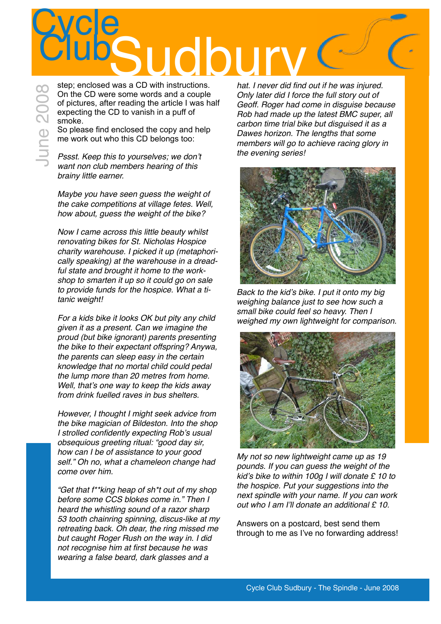## **Cycle** Clubs Clubs Clubs Clubs Club Clubs Clubs Clubs Clubs Clubs Clubs Clubs Clubs Club Club Club Club Club Club Club<br>
Subsequenclosed was a CD with instructions.

June 2008

step; enclosed was a CD with instructions. On the CD were some words and a couple of pictures, after reading the article I was half expecting the CD to vanish in a puff of smoke.

So please find enclosed the copy and help me work out who this CD belongs too:

*Pssst. Keep this to yourselves; we don*'*t want non club members hearing of this brainy little earner.*

*Maybe you have seen guess the weight of the cake competitions at village fetes. Well, how about, guess the weight of the bike?*

*Now I came across this little beauty whilst renovating bikes for St. Nicholas Hospice charity warehouse. I picked it up (metaphorically speaking) at the warehouse in a dreadful state and brought it home to the workshop to smarten it up so it could go on sale to provide funds for the hospice. What a titanic weight!*

*For a kids bike it looks OK but pity any child given it as a present. Can we imagine the proud (but bike ignorant) parents presenting the bike to their expectant offspring? Anywa, the parents can sleep easy in the certain knowledge that no mortal child could pedal the lump more than 20 metres from home. Well, that*'*s one way to keep the kids away from drink fuelled raves in bus shelters.*

*However, I thought I might seek advice from the bike magician of Bildeston. Into the shop I strolled confidently expecting Rob*'*s usual obsequious greeting ritual: "good day sir, how can I be of assistance to your good self." Oh no, what a chameleon change had come over him.*

*"Get that f\*\*king heap of sh\*t out of my shop before some CCS blokes come in." Then I heard the whistling sound of a razor sharp 53 tooth chainring spinning, discus-like at my retreating back. Oh dear, the ring missed me but caught Roger Rush on the way in. I did not recognise him at first because he was wearing a false beard, dark glasses and a* 

*hat. I never did find out if he was injured. Only later did I force the full story out of Geoff. Roger had come in disguise because Rob had made up the latest BMC super, all carbon time trial bike but disguised it as a Dawes horizon. The lengths that some members will go to achieve racing glory in the evening series!*



*Back to the kid*'*s bike. I put it onto my big weighing balance just to see how such a small bike could feel so heavy. Then I weighed my own lightweight for comparison.* 



*My not so new lightweight came up as 19 pounds. If you can guess the weight of the kid*'*s bike to within 100g I will donate £ 10 to the hospice. Put your suggestions into the next spindle with your name. If you can work out who I am I*'*ll donate an additional £ 10.*

Answers on a postcard, best send them through to me as I've no forwarding address!